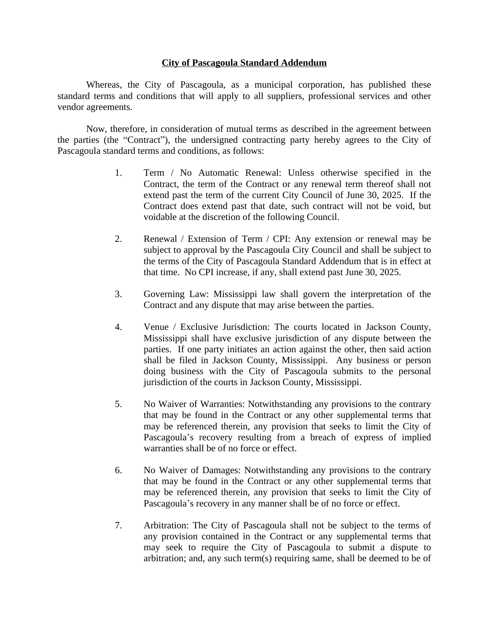## **City of Pascagoula Standard Addendum**

Whereas, the City of Pascagoula, as a municipal corporation, has published these standard terms and conditions that will apply to all suppliers, professional services and other vendor agreements.

Now, therefore, in consideration of mutual terms as described in the agreement between the parties (the "Contract"), the undersigned contracting party hereby agrees to the City of Pascagoula standard terms and conditions, as follows:

- 1. Term / No Automatic Renewal: Unless otherwise specified in the Contract, the term of the Contract or any renewal term thereof shall not extend past the term of the current City Council of June 30, 2025. If the Contract does extend past that date, such contract will not be void, but voidable at the discretion of the following Council.
- 2. Renewal / Extension of Term / CPI: Any extension or renewal may be subject to approval by the Pascagoula City Council and shall be subject to the terms of the City of Pascagoula Standard Addendum that is in effect at that time. No CPI increase, if any, shall extend past June 30, 2025.
- 3. Governing Law: Mississippi law shall govern the interpretation of the Contract and any dispute that may arise between the parties.
- 4. Venue / Exclusive Jurisdiction: The courts located in Jackson County, Mississippi shall have exclusive jurisdiction of any dispute between the parties. If one party initiates an action against the other, then said action shall be filed in Jackson County, Mississippi. Any business or person doing business with the City of Pascagoula submits to the personal jurisdiction of the courts in Jackson County, Mississippi.
- 5. No Waiver of Warranties: Notwithstanding any provisions to the contrary that may be found in the Contract or any other supplemental terms that may be referenced therein, any provision that seeks to limit the City of Pascagoula's recovery resulting from a breach of express of implied warranties shall be of no force or effect.
- 6. No Waiver of Damages: Notwithstanding any provisions to the contrary that may be found in the Contract or any other supplemental terms that may be referenced therein, any provision that seeks to limit the City of Pascagoula's recovery in any manner shall be of no force or effect.
- 7. Arbitration: The City of Pascagoula shall not be subject to the terms of any provision contained in the Contract or any supplemental terms that may seek to require the City of Pascagoula to submit a dispute to arbitration; and, any such term(s) requiring same, shall be deemed to be of